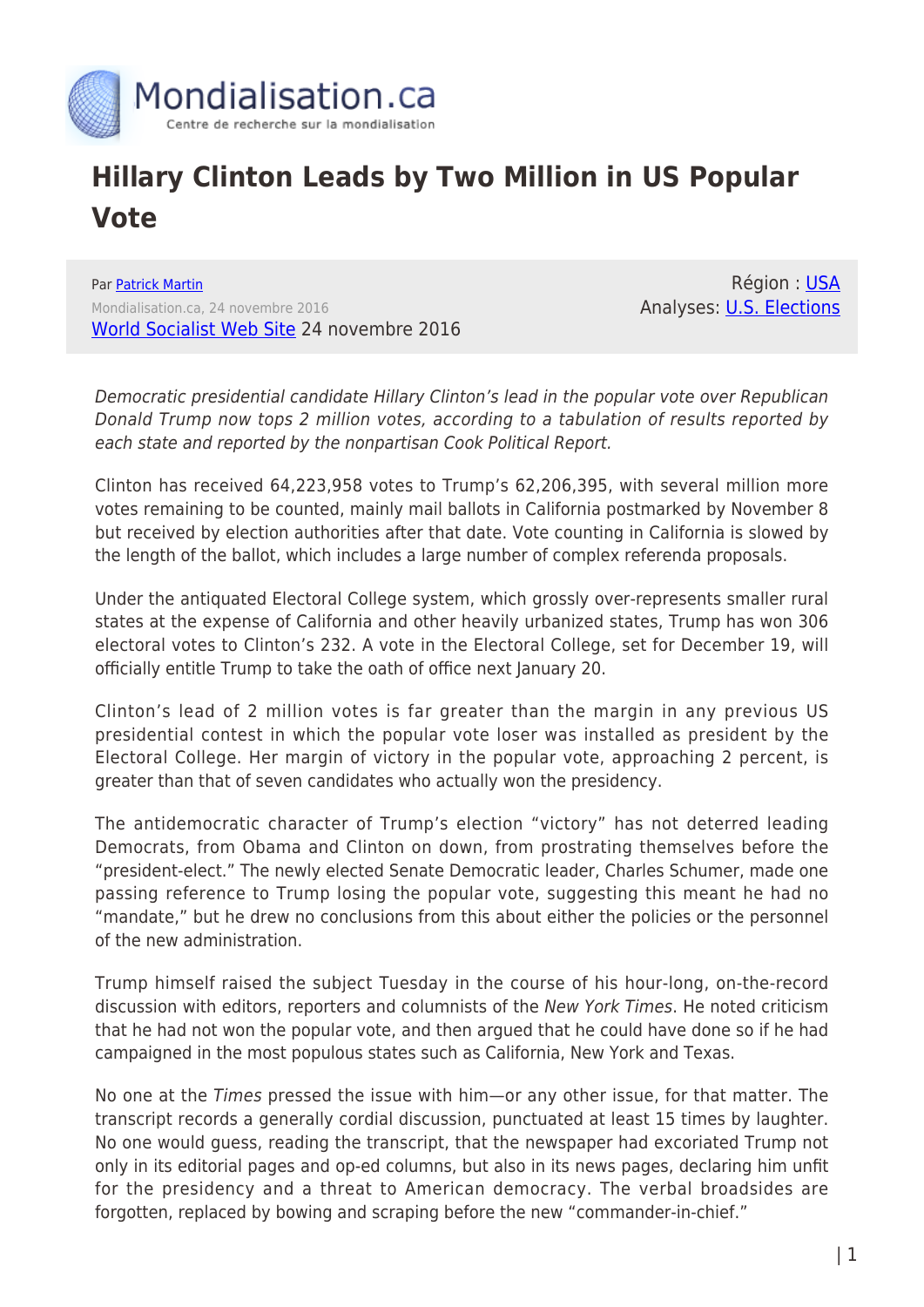

## **Hillary Clinton Leads by Two Million in US Popular Vote**

Par [Patrick Martin](https://www.mondialisation.ca/author/patrick-martin) Mondialisation.ca, 24 novembre 2016 [World Socialist Web Site](http://www.wsws.org/en/articles/2016/11/24/clin-n24.html) 24 novembre 2016

Région : [USA](https://www.mondialisation.ca/region/usa) Analyses: [U.S. Elections](https://www.mondialisation.ca/indepthreport/u-s-elections)

Democratic presidential candidate Hillary Clinton's lead in the popular vote over Republican Donald Trump now tops 2 million votes, according to a tabulation of results reported by each state and reported by the nonpartisan Cook Political Report.

Clinton has received 64,223,958 votes to Trump's 62,206,395, with several million more votes remaining to be counted, mainly mail ballots in California postmarked by November 8 but received by election authorities after that date. Vote counting in California is slowed by the length of the ballot, which includes a large number of complex referenda proposals.

Under the antiquated Electoral College system, which grossly over-represents smaller rural states at the expense of California and other heavily urbanized states, Trump has won 306 electoral votes to Clinton's 232. A vote in the Electoral College, set for December 19, will officially entitle Trump to take the oath of office next January 20.

Clinton's lead of 2 million votes is far greater than the margin in any previous US presidential contest in which the popular vote loser was installed as president by the Electoral College. Her margin of victory in the popular vote, approaching 2 percent, is greater than that of seven candidates who actually won the presidency.

The antidemocratic character of Trump's election "victory" has not deterred leading Democrats, from Obama and Clinton on down, from prostrating themselves before the "president-elect." The newly elected Senate Democratic leader, Charles Schumer, made one passing reference to Trump losing the popular vote, suggesting this meant he had no "mandate," but he drew no conclusions from this about either the policies or the personnel of the new administration.

Trump himself raised the subject Tuesday in the course of his hour-long, on-the-record discussion with editors, reporters and columnists of the New York Times. He noted criticism that he had not won the popular vote, and then argued that he could have done so if he had campaigned in the most populous states such as California, New York and Texas.

No one at the Times pressed the issue with him—or any other issue, for that matter. The transcript records a generally cordial discussion, punctuated at least 15 times by laughter. No one would guess, reading the transcript, that the newspaper had excoriated Trump not only in its editorial pages and op-ed columns, but also in its news pages, declaring him unfit for the presidency and a threat to American democracy. The verbal broadsides are forgotten, replaced by bowing and scraping before the new "commander-in-chief."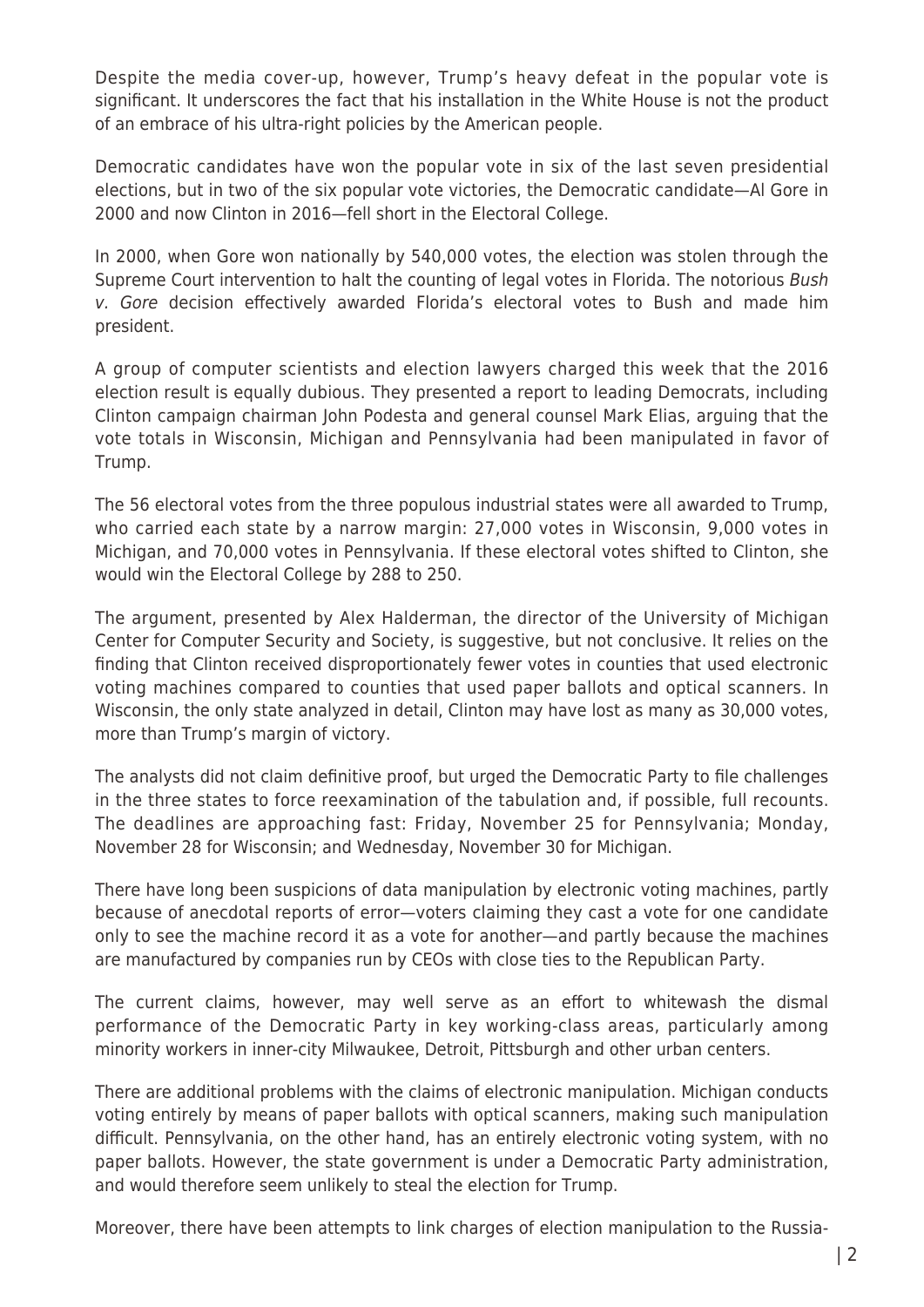Despite the media cover-up, however, Trump's heavy defeat in the popular vote is significant. It underscores the fact that his installation in the White House is not the product of an embrace of his ultra-right policies by the American people.

Democratic candidates have won the popular vote in six of the last seven presidential elections, but in two of the six popular vote victories, the Democratic candidate—Al Gore in 2000 and now Clinton in 2016—fell short in the Electoral College.

In 2000, when Gore won nationally by 540,000 votes, the election was stolen through the Supreme Court intervention to halt the counting of legal votes in Florida. The notorious Bush v. Gore decision effectively awarded Florida's electoral votes to Bush and made him president.

A group of computer scientists and election lawyers charged this week that the 2016 election result is equally dubious. They presented a report to leading Democrats, including Clinton campaign chairman John Podesta and general counsel Mark Elias, arguing that the vote totals in Wisconsin, Michigan and Pennsylvania had been manipulated in favor of Trump.

The 56 electoral votes from the three populous industrial states were all awarded to Trump, who carried each state by a narrow margin: 27,000 votes in Wisconsin, 9,000 votes in Michigan, and 70,000 votes in Pennsylvania. If these electoral votes shifted to Clinton, she would win the Electoral College by 288 to 250.

The argument, presented by Alex Halderman, the director of the University of Michigan Center for Computer Security and Society, is suggestive, but not conclusive. It relies on the finding that Clinton received disproportionately fewer votes in counties that used electronic voting machines compared to counties that used paper ballots and optical scanners. In Wisconsin, the only state analyzed in detail, Clinton may have lost as many as 30,000 votes, more than Trump's margin of victory.

The analysts did not claim definitive proof, but urged the Democratic Party to file challenges in the three states to force reexamination of the tabulation and, if possible, full recounts. The deadlines are approaching fast: Friday, November 25 for Pennsylvania; Monday, November 28 for Wisconsin; and Wednesday, November 30 for Michigan.

There have long been suspicions of data manipulation by electronic voting machines, partly because of anecdotal reports of error—voters claiming they cast a vote for one candidate only to see the machine record it as a vote for another—and partly because the machines are manufactured by companies run by CEOs with close ties to the Republican Party.

The current claims, however, may well serve as an effort to whitewash the dismal performance of the Democratic Party in key working-class areas, particularly among minority workers in inner-city Milwaukee, Detroit, Pittsburgh and other urban centers.

There are additional problems with the claims of electronic manipulation. Michigan conducts voting entirely by means of paper ballots with optical scanners, making such manipulation difficult. Pennsylvania, on the other hand, has an entirely electronic voting system, with no paper ballots. However, the state government is under a Democratic Party administration, and would therefore seem unlikely to steal the election for Trump.

Moreover, there have been attempts to link charges of election manipulation to the Russia-